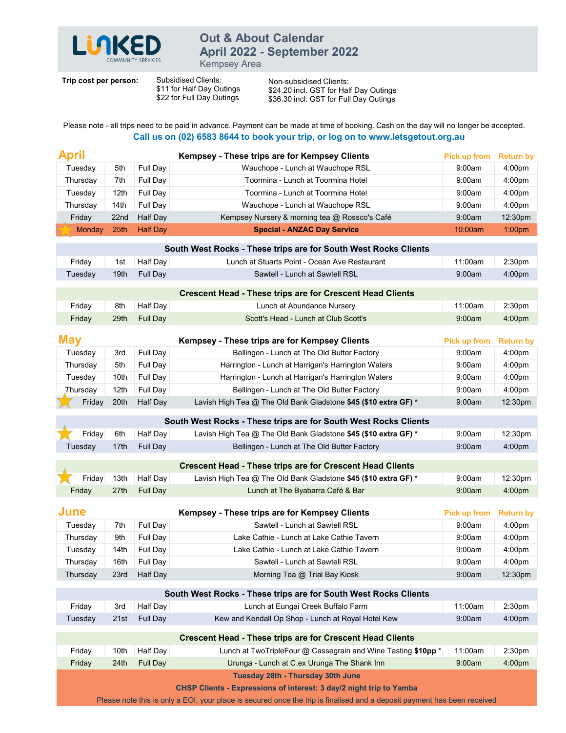

## Out & About Calendar<br>April 2022 - September 2022 **Out & About Calendar<br>April 2022 - September 2022**<br>Kempsey Area<br>Clients: Non-subsidised Clients:<br>Day Outings \$24.20 incl. GST for Half Day Outings<br>Day Outings \$36.30 incl. GST for Full Day Outings

| LUIKED                | COMMUNITY SERVICES      |                      | <b>Out &amp; About Calendar</b><br>April 2022 - September 2022<br><b>Kempsey Area</b>                                                                                                                                      |                     |                                          |
|-----------------------|-------------------------|----------------------|----------------------------------------------------------------------------------------------------------------------------------------------------------------------------------------------------------------------------|---------------------|------------------------------------------|
| Trip cost per person: |                         |                      | Subsidised Clients:<br>Non-subsidised Clients:<br>\$11 for Half Day Outings<br>\$24.20 incl. GST for Half Day Outings<br>\$22 for Full Day Outings<br>\$36.30 incl. GST for Full Day Outings                               |                     |                                          |
|                       |                         |                      |                                                                                                                                                                                                                            |                     |                                          |
|                       |                         |                      | Please note - all trips need to be paid in advance. Payment can be made at time of booking. Cash on the day will no longer be accepted.<br>Call us on (02) 6583 8644 to book your trip, or log on to www.letsgetout.org.au |                     |                                          |
|                       |                         |                      |                                                                                                                                                                                                                            |                     |                                          |
| <b>April</b>          |                         |                      | Kempsey - These trips are for Kempsey Clients                                                                                                                                                                              | Pick up from        | <b>Return by</b>                         |
| Tuesday               | 5th                     | Full Day             | Wauchope - Lunch at Wauchope RSL<br>Toormina - Lunch at Toormina Hotel                                                                                                                                                     | 9:00am<br>9:00am    | 4:00 <sub>pm</sub>                       |
| Thursday<br>Tuesday   | 7th<br>12 <sub>th</sub> | Full Day<br>Full Day | Toormina - Lunch at Toormina Hotel                                                                                                                                                                                         | 9:00am              | 4:00 <sub>pm</sub><br>4:00 <sub>pm</sub> |
| Thursday              | 14th                    | Full Day             | Wauchope - Lunch at Wauchope RSL                                                                                                                                                                                           | 9:00am              | 4:00 <sub>pm</sub>                       |
| Friday                | 22 <sub>nd</sub>        | Half Day             | Kempsey Nursery & morning tea @ Rossco's Café                                                                                                                                                                              | 9:00am              | 12:30pm                                  |
| Monday                | 25th                    | <b>Half Day</b>      | <b>Special - ANZAC Day Service</b>                                                                                                                                                                                         | 10:00am             | 1:00 <sub>pm</sub>                       |
|                       |                         |                      | South West Rocks - These trips are for South West Rocks Clients                                                                                                                                                            |                     |                                          |
| Friday                | 1st                     | Half Day             | Lunch at Stuarts Point - Ocean Ave Restaurant                                                                                                                                                                              | 11:00am             | 2:30 <sub>pm</sub>                       |
| Tuesday               | 19th                    | Full Day             | Sawtell - Lunch at Sawtell RSL                                                                                                                                                                                             | 9:00am              | 4:00 <sub>pm</sub>                       |
|                       |                         |                      | <b>Crescent Head - These trips are for Crescent Head Clients</b>                                                                                                                                                           |                     |                                          |
| Friday                | 8th                     | Half Day             | Lunch at Abundance Nursery                                                                                                                                                                                                 | 11:00am             | 2:30pm                                   |
| Friday                | 29th                    | Full Day             | Scott's Head - Lunch at Club Scott's                                                                                                                                                                                       | 9:00am              | 4:00pm                                   |
|                       |                         |                      |                                                                                                                                                                                                                            |                     |                                          |
| <b>May</b>            |                         |                      | Kempsey - These trips are for Kempsey Clients                                                                                                                                                                              | Pick up from        | <b>Return by</b>                         |
| Tuesday               | 3rd                     | Full Day             | Bellingen - Lunch at The Old Butter Factory                                                                                                                                                                                | 9:00am              | 4:00pm                                   |
| Thursday<br>Tuesday   | 5th<br>10th             | Full Day<br>Full Day | Harrington - Lunch at Harrigan's Harrington Waters<br>Harrington - Lunch at Harrigan's Harrington Waters                                                                                                                   | 9:00am<br>9:00am    | 4:00pm<br>4:00pm                         |
| Thursday              | 12th                    | Full Day             | Bellingen - Lunch at The Old Butter Factory                                                                                                                                                                                | 9:00am              | 4:00pm                                   |
| Friday                | 20th                    | <b>Half Day</b>      | Lavish High Tea @ The Old Bank Gladstone \$45 (\$10 extra GF) *                                                                                                                                                            | 9:00am              | 12:30pm                                  |
|                       |                         |                      |                                                                                                                                                                                                                            |                     |                                          |
| Friday                | 6th                     | Half Day             | South West Rocks - These trips are for South West Rocks Clients<br>Lavish High Tea @ The Old Bank Gladstone \$45 (\$10 extra GF) *                                                                                         | 9:00am              | 12:30pm                                  |
| Tuesday               | 17th                    | Full Day             | Bellingen - Lunch at The Old Butter Factory                                                                                                                                                                                | 9:00am              | 4:00pm                                   |
|                       |                         |                      |                                                                                                                                                                                                                            |                     |                                          |
|                       |                         |                      | <b>Crescent Head - These trips are for Crescent Head Clients</b>                                                                                                                                                           | 9:00am              |                                          |
| Friday<br>Friday      | 13th<br>27th            | Half Day<br>Full Day | Lavish High Tea @ The Old Bank Gladstone \$45 (\$10 extra GF) *<br>Lunch at The Byabarra Café & Bar                                                                                                                        | 9:00am              | 12:30pm<br>4:00pm                        |
|                       |                         |                      |                                                                                                                                                                                                                            |                     |                                          |
| June                  |                         |                      | Kempsey - These trips are for Kempsey Clients                                                                                                                                                                              | <b>Pick up from</b> | <b>Return by</b>                         |
| Tuesday               | 7th                     | Full Day             | Sawtell - Lunch at Sawtell RSL                                                                                                                                                                                             | 9:00am              | 4:00pm                                   |
| Thursday              | 9th                     | Full Day             | Lake Cathie - Lunch at Lake Cathie Tavern                                                                                                                                                                                  | 9:00am              | 4:00pm                                   |
| Tuesday<br>Thursday   | 14th<br>16th            | Full Day<br>Full Day | Lake Cathie - Lunch at Lake Cathie Tavern<br>Sawtell - Lunch at Sawtell RSL                                                                                                                                                | 9:00am<br>9:00am    | 4:00pm<br>4:00pm                         |
| Thursday              | 23rd                    | Half Day             | Morning Tea @ Trial Bay Kiosk                                                                                                                                                                                              | 9:00am              | 12:30pm                                  |
|                       |                         |                      |                                                                                                                                                                                                                            |                     |                                          |
|                       |                         |                      | South West Rocks - These trips are for South West Rocks Clients                                                                                                                                                            |                     |                                          |
| Friday<br>Tuesday     | 3rd<br>21st             | Half Day<br>Full Day | Lunch at Eungai Creek Buffalo Farm<br>Kew and Kendall Op Shop - Lunch at Royal Hotel Kew                                                                                                                                   | 11:00am<br>9:00am   | 2:30 <sub>pm</sub><br>4:00pm             |
|                       |                         |                      |                                                                                                                                                                                                                            |                     |                                          |
|                       |                         |                      | <b>Crescent Head - These trips are for Crescent Head Clients</b>                                                                                                                                                           |                     |                                          |
| Friday                | 10th                    | Half Day             | Lunch at TwoTripleFour @ Cassegrain and Wine Tasting \$10pp *                                                                                                                                                              | 11:00am             | 2:30 <sub>pm</sub>                       |
| Friday                | 24th                    | Full Day             | Urunga - Lunch at C.ex Urunga The Shank Inn                                                                                                                                                                                | 9:00am              | 4:00 <sub>pm</sub>                       |
|                       |                         |                      | Tuesday 28th - Thursday 30th June                                                                                                                                                                                          |                     |                                          |
|                       |                         |                      | <b>CHSP Clients - Expressions of interest: 3 day/2 night trip to Yamba</b>                                                                                                                                                 |                     |                                          |
|                       |                         |                      | Please note this is only a EOI, your place is secured once the trip is finalised and a deposit payment has been received                                                                                                   |                     |                                          |